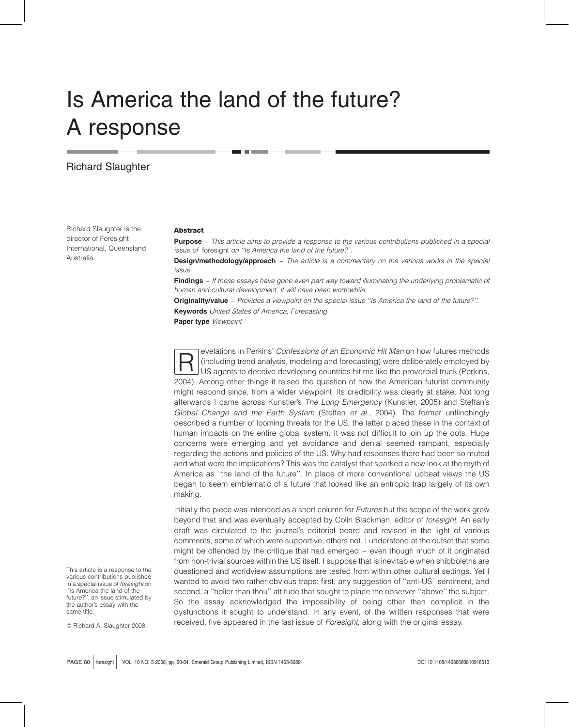# Is America the land of the future? A response

# Richard Slaughter

Richard Slaughter is the director of Foresight International, Queensland, Australia.

#### Abstract

**Purpose** – This article aims to provide a response to the various contributions published in a special issue of foresight on ''Is America the land of the future?''.

**Design/methodology/approach** – The article is a commentary on the various works in the special issue.

Findings - If these essays have gone even part way toward illuminating the underlying problematic of human and cultural development, it will have been worthwhile.

**Originality/value** – Provides a viewpoint on the special issue "Is America the land of the future?". Keywords United States of America, Forecasting Paper type Viewpoint

evelations in Perkins' *Confessions of an Economic Hit Man* on how futures methods<br>(including trend analysis, modeling and forecasting) were deliberately employed by<br>US agents to deceive developing countries hit me like th (including trend analysis, modeling and forecasting) were deliberately employed by US agents to deceive developing countries hit me like the proverbial truck (Perkins, 2004). Among other things it raised the question of how the American futurist community might respond since, from a wider viewpoint, its credibility was clearly at stake. Not long afterwards I came across Kunstler's The Long Emergency (Kunstler, 2005) and Steffan's Global Change and the Earth System (Steffan et al., 2004). The former unflinchingly described a number of looming threats for the US; the latter placed these in the context of human impacts on the entire global system. It was not difficult to join up the dots. Huge concerns were emerging and yet avoidance and denial seemed rampant, especially regarding the actions and policies of the US. Why had responses there had been so muted and what were the implications? This was the catalyst that sparked a new look at the myth of America as ''the land of the future''. In place of more conventional upbeat views the US began to seem emblematic of a future that looked like an entropic trap largely of its own making.

Initially the piece was intended as a short column for *Futures* but the scope of the work grew beyond that and was eventually accepted by Colin Blackman, editor of foresight. An early draft was circulated to the journal's editorial board and revised in the light of various comments, some of which were supportive, others not. I understood at the outset that some might be offended by the critique that had emerged – even though much of it originated from non-trivial sources within the US itself. I suppose that is inevitable when shibboleths are questioned and worldview assumptions are tested from within other cultural settings. Yet I wanted to avoid two rather obvious traps: first, any suggestion of ''anti-US'' sentiment, and second, a ''holier than thou'' attitude that sought to place the observer ''above'' the subject. So the essay acknowledged the impossibility of being other than complicit in the dysfunctions it sought to understand. In any event, of the written responses that were received, five appeared in the last issue of Foresight, along with the original essay.

This article is a response to the various contributions published in a special issue of foresight on ''Is America the land of the future?'', an issue stimulated by the author's essay with the same title.

 $©$  Richard A. Slaughter 2008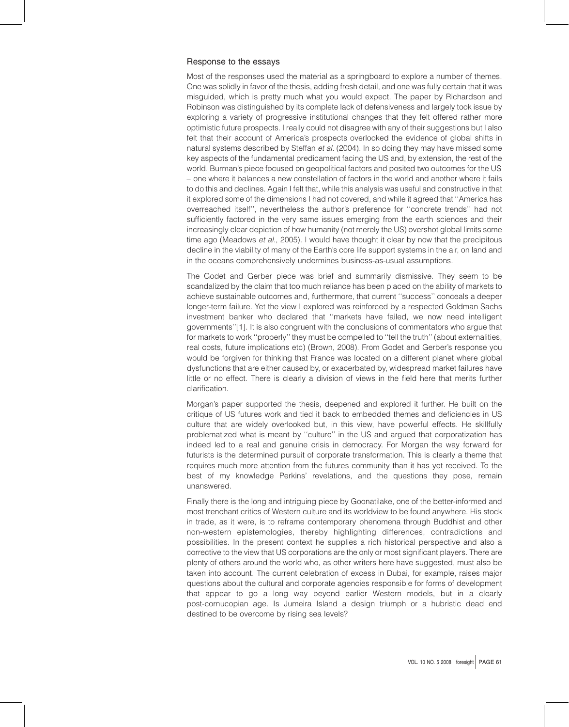### Response to the essays

Most of the responses used the material as a springboard to explore a number of themes. One was solidly in favor of the thesis, adding fresh detail, and one was fully certain that it was misguided, which is pretty much what you would expect. The paper by Richardson and Robinson was distinguished by its complete lack of defensiveness and largely took issue by exploring a variety of progressive institutional changes that they felt offered rather more optimistic future prospects. I really could not disagree with any of their suggestions but I also felt that their account of America's prospects overlooked the evidence of global shifts in natural systems described by Steffan et al. (2004). In so doing they may have missed some key aspects of the fundamental predicament facing the US and, by extension, the rest of the world. Burman's piece focused on geopolitical factors and posited two outcomes for the US – one where it balances a new constellation of factors in the world and another where it fails to do this and declines. Again I felt that, while this analysis was useful and constructive in that it explored some of the dimensions I had not covered, and while it agreed that ''America has overreached itself'', nevertheless the author's preference for ''concrete trends'' had not sufficiently factored in the very same issues emerging from the earth sciences and their increasingly clear depiction of how humanity (not merely the US) overshot global limits some time ago (Meadows et al., 2005). I would have thought it clear by now that the precipitous decline in the viability of many of the Earth's core life support systems in the air, on land and in the oceans comprehensively undermines business-as-usual assumptions.

The Godet and Gerber piece was brief and summarily dismissive. They seem to be scandalized by the claim that too much reliance has been placed on the ability of markets to achieve sustainable outcomes and, furthermore, that current ''success'' conceals a deeper longer-term failure. Yet the view I explored was reinforced by a respected Goldman Sachs investment banker who declared that ''markets have failed, we now need intelligent governments''[1]. It is also congruent with the conclusions of commentators who argue that for markets to work ''properly'' they must be compelled to ''tell the truth'' (about externalities, real costs, future implications etc) (Brown, 2008). From Godet and Gerber's response you would be forgiven for thinking that France was located on a different planet where global dysfunctions that are either caused by, or exacerbated by, widespread market failures have little or no effect. There is clearly a division of views in the field here that merits further clarification.

Morgan's paper supported the thesis, deepened and explored it further. He built on the critique of US futures work and tied it back to embedded themes and deficiencies in US culture that are widely overlooked but, in this view, have powerful effects. He skillfully problematized what is meant by ''culture'' in the US and argued that corporatization has indeed led to a real and genuine crisis in democracy. For Morgan the way forward for futurists is the determined pursuit of corporate transformation. This is clearly a theme that requires much more attention from the futures community than it has yet received. To the best of my knowledge Perkins' revelations, and the questions they pose, remain unanswered.

Finally there is the long and intriguing piece by Goonatilake, one of the better-informed and most trenchant critics of Western culture and its worldview to be found anywhere. His stock in trade, as it were, is to reframe contemporary phenomena through Buddhist and other non-western epistemologies, thereby highlighting differences, contradictions and possibilities. In the present context he supplies a rich historical perspective and also a corrective to the view that US corporations are the only or most significant players. There are plenty of others around the world who, as other writers here have suggested, must also be taken into account. The current celebration of excess in Dubai, for example, raises major questions about the cultural and corporate agencies responsible for forms of development that appear to go a long way beyond earlier Western models, but in a clearly post-cornucopian age. Is Jumeira Island a design triumph or a hubristic dead end destined to be overcome by rising sea levels?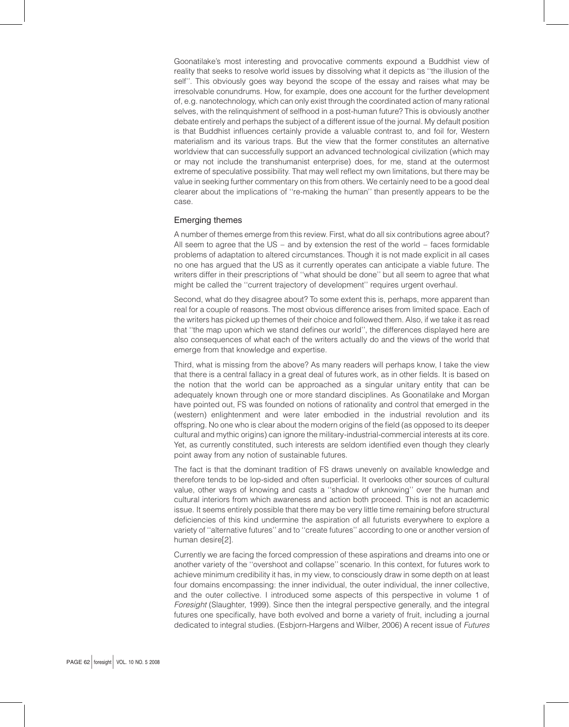Goonatilake's most interesting and provocative comments expound a Buddhist view of reality that seeks to resolve world issues by dissolving what it depicts as ''the illusion of the self''. This obviously goes way beyond the scope of the essay and raises what may be irresolvable conundrums. How, for example, does one account for the further development of, e.g. nanotechnology, which can only exist through the coordinated action of many rational selves, with the relinquishment of selfhood in a post-human future? This is obviously another debate entirely and perhaps the subject of a different issue of the journal. My default position is that Buddhist influences certainly provide a valuable contrast to, and foil for, Western materialism and its various traps. But the view that the former constitutes an alternative worldview that can successfully support an advanced technological civilization (which may or may not include the transhumanist enterprise) does, for me, stand at the outermost extreme of speculative possibility. That may well reflect my own limitations, but there may be value in seeking further commentary on this from others. We certainly need to be a good deal clearer about the implications of ''re-making the human'' than presently appears to be the case.

## Emerging themes

A number of themes emerge from this review. First, what do all six contributions agree about? All seem to agree that the US – and by extension the rest of the world – faces formidable problems of adaptation to altered circumstances. Though it is not made explicit in all cases no one has argued that the US as it currently operates can anticipate a viable future. The writers differ in their prescriptions of ''what should be done'' but all seem to agree that what might be called the ''current trajectory of development'' requires urgent overhaul.

Second, what do they disagree about? To some extent this is, perhaps, more apparent than real for a couple of reasons. The most obvious difference arises from limited space. Each of the writers has picked up themes of their choice and followed them. Also, if we take it as read that ''the map upon which we stand defines our world'', the differences displayed here are also consequences of what each of the writers actually do and the views of the world that emerge from that knowledge and expertise.

Third, what is missing from the above? As many readers will perhaps know, I take the view that there is a central fallacy in a great deal of futures work, as in other fields. It is based on the notion that the world can be approached as a singular unitary entity that can be adequately known through one or more standard disciplines. As Goonatilake and Morgan have pointed out, FS was founded on notions of rationality and control that emerged in the (western) enlightenment and were later embodied in the industrial revolution and its offspring. No one who is clear about the modern origins of the field (as opposed to its deeper cultural and mythic origins) can ignore the military-industrial-commercial interests at its core. Yet, as currently constituted, such interests are seldom identified even though they clearly point away from any notion of sustainable futures.

The fact is that the dominant tradition of FS draws unevenly on available knowledge and therefore tends to be lop-sided and often superficial. It overlooks other sources of cultural value, other ways of knowing and casts a ''shadow of unknowing'' over the human and cultural interiors from which awareness and action both proceed. This is not an academic issue. It seems entirely possible that there may be very little time remaining before structural deficiencies of this kind undermine the aspiration of all futurists everywhere to explore a variety of ''alternative futures'' and to ''create futures'' according to one or another version of human desire[2].

Currently we are facing the forced compression of these aspirations and dreams into one or another variety of the ''overshoot and collapse'' scenario. In this context, for futures work to achieve minimum credibility it has, in my view, to consciously draw in some depth on at least four domains encompassing: the inner individual, the outer individual, the inner collective, and the outer collective. I introduced some aspects of this perspective in volume 1 of Foresight (Slaughter, 1999). Since then the integral perspective generally, and the integral futures one specifically, have both evolved and borne a variety of fruit, including a journal dedicated to integral studies. (Esbjorn-Hargens and Wilber, 2006) A recent issue of Futures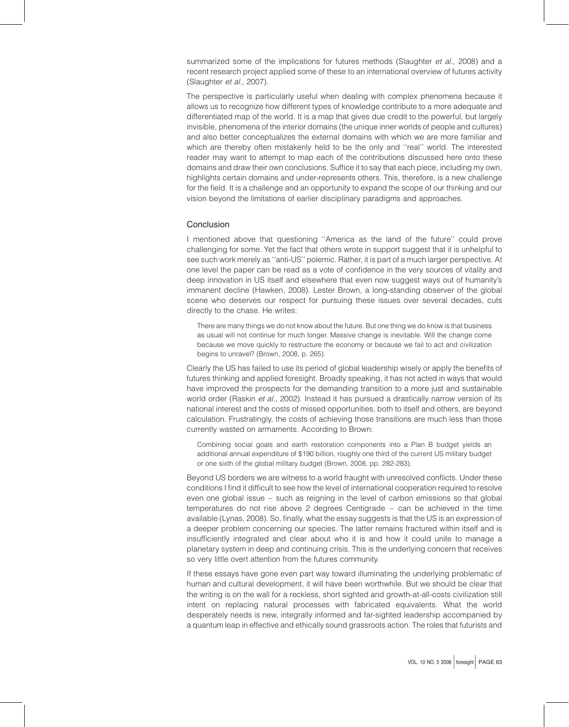summarized some of the implications for futures methods (Slaughter et al., 2008) and a recent research project applied some of these to an international overview of futures activity (Slaughter et al., 2007).

The perspective is particularly useful when dealing with complex phenomena because it allows us to recognize how different types of knowledge contribute to a more adequate and differentiated map of the world. It is a map that gives due credit to the powerful, but largely invisible, phenomena of the interior domains (the unique inner worlds of people and cultures) and also better conceptualizes the external domains with which we are more familiar and which are thereby often mistakenly held to be the only and ''real'' world. The interested reader may want to attempt to map each of the contributions discussed here onto these domains and draw their own conclusions. Suffice it to say that each piece, including my own, highlights certain domains and under-represents others. This, therefore, is a new challenge for the field. It is a challenge and an opportunity to expand the scope of our thinking and our vision beyond the limitations of earlier disciplinary paradigms and approaches.

# Conclusion

I mentioned above that questioning ''America as the land of the future'' could prove challenging for some. Yet the fact that others wrote in support suggest that it is unhelpful to see such work merely as ''anti-US'' polemic. Rather, it is part of a much larger perspective. At one level the paper can be read as a vote of confidence in the very sources of vitality and deep innovation in US itself and elsewhere that even now suggest ways out of humanity's immanent decline (Hawken, 2008). Lester Brown, a long-standing observer of the global scene who deserves our respect for pursuing these issues over several decades, cuts directly to the chase. He writes:

There are many things we do not know about the future. But one thing we do know is that business as usual will not continue for much longer. Massive change is inevitable. Will the change come because we move quickly to restructure the economy or because we fail to act and civilization begins to unravel? (Brown, 2008, p. 265).

Clearly the US has failed to use its period of global leadership wisely or apply the benefits of futures thinking and applied foresight. Broadly speaking, it has not acted in ways that would have improved the prospects for the demanding transition to a more just and sustainable world order (Raskin et al., 2002). Instead it has pursued a drastically narrow version of its national interest and the costs of missed opportunities, both to itself and others, are beyond calculation. Frustratingly, the costs of achieving those transitions are much less than those currently wasted on armaments. According to Brown:

Combining social goals and earth restoration components into a Plan B budget yields an additional annual expenditure of \$190 billion, roughly one third of the current US military budget or one sixth of the global military budget (Brown, 2008, pp. 282-283).

Beyond US borders we are witness to a world fraught with unresolved conflicts. Under these conditions I find it difficult to see how the level of international cooperation required to resolve even one global issue – such as reigning in the level of carbon emissions so that global temperatures do not rise above 2 degrees Centigrade – can be achieved in the time available (Lynas, 2008). So, finally, what the essay suggests is that the US is an expression of a deeper problem concerning our species. The latter remains fractured within itself and is insufficiently integrated and clear about who it is and how it could unite to manage a planetary system in deep and continuing crisis. This is the underlying concern that receives so very little overt attention from the futures community.

If these essays have gone even part way toward illuminating the underlying problematic of human and cultural development, it will have been worthwhile. But we should be clear that the writing is on the wall for a reckless, short sighted and growth-at-all-costs civilization still intent on replacing natural processes with fabricated equivalents. What the world desperately needs is new, integrally informed and far-sighted leadership accompanied by a quantum leap in effective and ethically sound grassroots action. The roles that futurists and